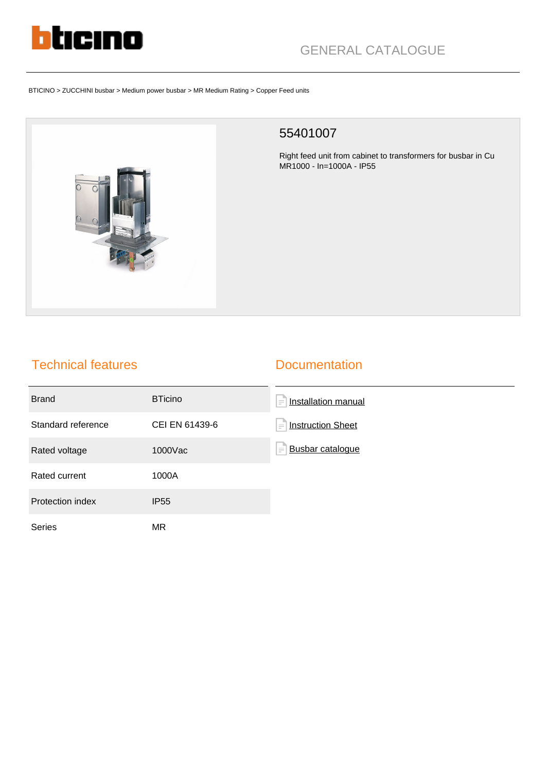

# GENERAL CATALOGUE

#### BTICINO > ZUCCHINI busbar > Medium power busbar > MR Medium Rating > Copper Feed units



#### 55401007

Right feed unit from cabinet to transformers for busbar in Cu MR1000 - In=1000A - IP55

### Technical features

#### **Documentation**

| <b>Brand</b>       | <b>BTicino</b> | Installation manual<br>$\equiv$      |
|--------------------|----------------|--------------------------------------|
| Standard reference | CEI EN 61439-6 | <b>Instruction Sheet</b><br>$\equiv$ |
| Rated voltage      | 1000Vac        | <b>Busbar catalogue</b><br>$\equiv$  |
| Rated current      | 1000A          |                                      |
| Protection index   | <b>IP55</b>    |                                      |
| <b>Series</b>      | MR.            |                                      |